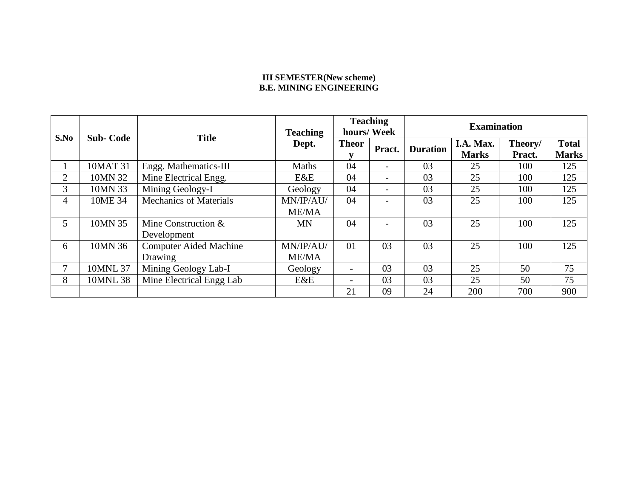### **III SEMESTER(New scheme) B.E. MINING ENGINEERING**

| S.No           | <b>Sub-Code</b> | <b>Title</b>                  | <b>Teaching</b> | <b>Teaching</b>          | hours/Week               | <b>Examination</b> |              |         |              |  |
|----------------|-----------------|-------------------------------|-----------------|--------------------------|--------------------------|--------------------|--------------|---------|--------------|--|
|                |                 |                               | Dept.           | <b>Theor</b>             | Pract.                   | <b>Duration</b>    | I.A. Max.    | Theory/ | <b>Total</b> |  |
|                |                 |                               |                 | v                        |                          |                    | <b>Marks</b> | Pract.  | <b>Marks</b> |  |
|                | 10MAT 31        | Engg. Mathematics-III         | Maths           | 04                       |                          | 03                 | 25           | 100     | 125          |  |
| $\overline{2}$ | 10MN 32         | Mine Electrical Engg.         | E&E             | 04                       | $\overline{\phantom{0}}$ | 03                 | 25           | 100     | 125          |  |
| 3              | 10MN 33         | Mining Geology-I              | Geology         | 04                       | $\overline{\phantom{0}}$ | 03                 | 25           | 100     | 125          |  |
| 4              | 10ME 34         | <b>Mechanics of Materials</b> | MN/IP/AU/       | 04                       |                          | 03                 | 25           | 100     | 125          |  |
|                |                 |                               | <b>ME/MA</b>    |                          |                          |                    |              |         |              |  |
| 5              | 10MN 35         | Mine Construction $&$         | <b>MN</b>       | 04                       |                          | 03                 | 25           | 100     | 125          |  |
|                |                 | Development                   |                 |                          |                          |                    |              |         |              |  |
| 6              | 10MN 36         | <b>Computer Aided Machine</b> | MN/IP/AU/       | 01                       | 03                       | 03                 | 25           | 100     | 125          |  |
|                |                 | Drawing                       | <b>ME/MA</b>    |                          |                          |                    |              |         |              |  |
|                | 10MNL 37        | Mining Geology Lab-I          | Geology         | $\overline{\phantom{a}}$ | 03                       | 03                 | 25           | 50      | 75           |  |
| 8              | 10MNL 38        | Mine Electrical Engg Lab      | E&E             |                          | 03                       | 03                 | 25           | 50      | 75           |  |
|                |                 |                               |                 | 21                       | 09                       | 24                 | 200          | 700     | 900          |  |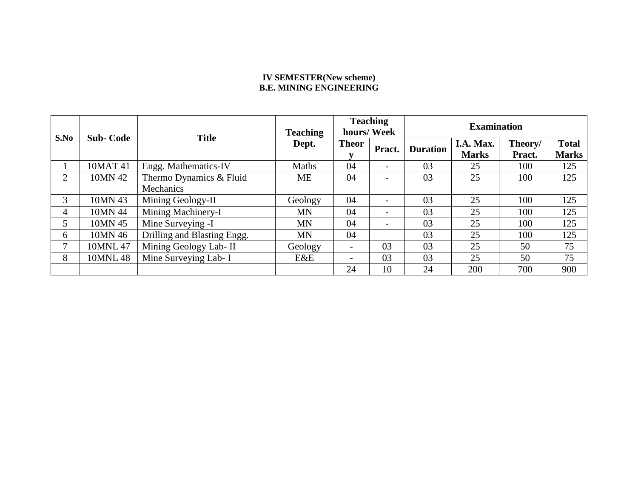### **IV SEMESTER(New scheme) B.E. MINING ENGINEERING**

| S.No | <b>Sub-Code</b> | <b>Title</b>                | <b>Teaching</b> |                          | <b>Teaching</b><br>hours/Week | <b>Examination</b> |                      |        |              |
|------|-----------------|-----------------------------|-----------------|--------------------------|-------------------------------|--------------------|----------------------|--------|--------------|
|      |                 |                             | Dept.           | <b>Theor</b>             | Pract.                        | <b>Duration</b>    | I.A. Max.<br>Theory/ |        | <b>Total</b> |
|      |                 |                             |                 |                          |                               |                    | <b>Marks</b>         | Pract. | <b>Marks</b> |
|      | 10MAT 41        | Engg. Mathematics-IV        | Maths           | 04                       |                               | 03                 | 25                   | 100    | 125          |
| 2    | 10MN 42         | Thermo Dynamics & Fluid     | ME              | 04                       | $\overline{\phantom{0}}$      | 03                 | 25                   | 100    | 125          |
|      |                 | Mechanics                   |                 |                          |                               |                    |                      |        |              |
| 3    | 10MN 43         | Mining Geology-II           | Geology         | 04                       | $\overline{\phantom{0}}$      | 03                 | 25                   | 100    | 125          |
| 4    | 10MN 44         | Mining Machinery-I          | MN              | 04                       | $\overline{\phantom{0}}$      | 03                 | 25                   | 100    | 125          |
| 5    | 10MN 45         | Mine Surveying -I           | <b>MN</b>       | 04                       | $\overline{\phantom{0}}$      | 03                 | 25                   | 100    | 125          |
| 6    | 10MN 46         | Drilling and Blasting Engg. | <b>MN</b>       | 04                       |                               | 03                 | 25                   | 100    | 125          |
|      | 10MNL 47        | Mining Geology Lab- II      | Geology         | $\overline{\phantom{a}}$ | 03                            | 03                 | 25                   | 50     | 75           |
| 8    | 10MNL 48        | Mine Surveying Lab- I       | E&E             | $\overline{\phantom{a}}$ | 03                            | 03                 | 25                   | 50     | 75           |
|      |                 |                             |                 | 24                       | 10                            | 24                 | 200                  | 700    | 900          |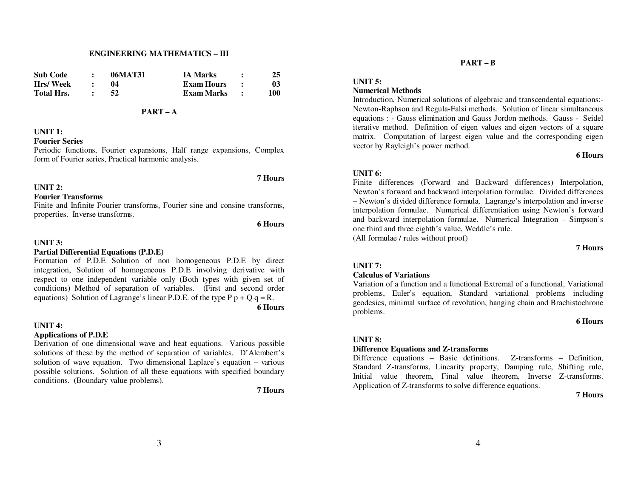#### **ENGINEERING MATHEMATICS – III**

| <b>Sub Code</b>   | 06MAT31 | <b>IA Marks</b>   | 25  |
|-------------------|---------|-------------------|-----|
| Hrs/Week          |         | <b>Exam Hours</b> | 03  |
| <b>Total Hrs.</b> | 52      | Exam Marks        | 100 |

### **PART – A**

### **UNIT 1:**

#### **Fourier Series**

 Periodic functions, Fourier expansions, Half range expansions, Complex form of Fourier series, Practical harmonic analysis.

#### **UNIT 2:**

#### **Fourier Transforms**

 Finite and Infinite Fourier transforms, Fourier sine and consine transforms, properties. Inverse transforms.

### **6 Hours**

**7 Hours** 

### **UNIT 3:**

### **Partial Differential Equations (P.D.E)**

 Formation of P.D.E Solution of non homogeneous P.D.E by direct integration, Solution of homogeneous P.D.E involving derivative with respect to one independent variable only (Both types with given set of conditions) Method of separation of variables. (First and second order equations) Solution of Lagrange's linear P.D.E. of the type  $P p + Q q = R$ . **6 Hours** 

#### **UNIT 4:**

### **Applications of P.D.E**

 Derivation of one dimensional wave and heat equations. Various possible solutions of these by the method of separation of variables. D'Alembert's solution of wave equation. Two dimensional Laplace's equation – various possible solutions. Solution of all these equations with specified boundary conditions. (Boundary value problems).

**7 Hours** 

#### **PART – B**

# **UNIT 5:**

## **Numerical Methods**

 Introduction, Numerical solutions of algebraic and transcendental equations:- Newton-Raphson and Regula-Falsi methods. Solution of linear simultaneous equations : - Gauss elimination and Gauss Jordon methods. Gauss - Seidel iterative method. Definition of eigen values and eigen vectors of a square matrix. Computation of largest eigen value and the corresponding eigen vector by Rayleigh's power method.

#### **6 Hours**

### **UNIT 6:**

 Finite differences (Forward and Backward differences) Interpolation, Newton's forward and backward interpolation formulae. Divided differences – Newton's divided difference formula. Lagrange's interpolation and inverse interpolation formulae. Numerical differentiation using Newton's forward and backward interpolation formulae. Numerical Integration – Simpson's one third and three eighth's value, Weddle's rule.

(All formulae / rules without proof)

**7 Hours** 

# **UNIT 7:**

### **Calculus of Variations**

 Variation of a function and a functional Extremal of a functional, Variational problems, Euler's equation, Standard variational problems including geodesics, minimal surface of revolution, hanging chain and Brachistochrone problems.

#### **6 Hours**

#### **UNIT 8:**

#### **Difference Equations and Z-transforms**

 Difference equations – Basic definitions. Z-transforms – Definition, Standard Z-transforms, Linearity property, Damping rule, Shifting rule, Initial value theorem, Final value theorem, Inverse Z-transforms. Application of Z-transforms to solve difference equations.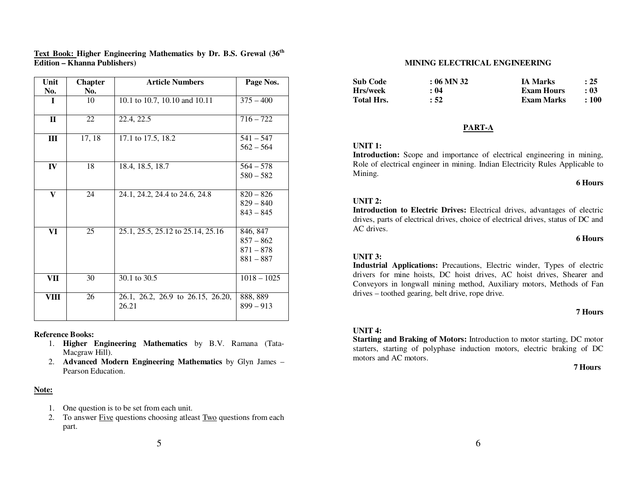| Unit         | <b>Chapter</b> | <b>Article Numbers</b>                     | Page Nos.               |
|--------------|----------------|--------------------------------------------|-------------------------|
| No.          | No.            |                                            |                         |
| I            | 10             | 10.1 to 10.7, 10.10 and 10.11              | $375 - 400$             |
|              |                |                                            |                         |
| $\mathbf{I}$ | 22             | 22.4, 22.5                                 | $716 - 722$             |
| III          | 17, 18         | 17.1 to 17.5, 18.2                         | $541 - 547$             |
|              |                |                                            | $562 - 564$             |
| IV           | 18             | 18.4, 18.5, 18.7                           | $564 - 578$             |
|              |                |                                            | $580 - 582$             |
| $\mathbf{V}$ | 24             | 24.1, 24.2, 24.4 to 24.6, 24.8             | $820 - 826$             |
|              |                |                                            | $829 - 840$             |
|              |                |                                            | $843 - 845$             |
|              |                |                                            |                         |
| VI           | 25             | 25.1, 25.5, 25.12 to 25.14, 25.16          | 846, 847                |
|              |                |                                            | $857 - 862$             |
|              |                |                                            | $871 - 878$             |
|              |                |                                            | $881 - 887$             |
|              |                |                                            |                         |
| VII          | 30             | 30.1 to 30.5                               | $1018 - 1025$           |
| VIII         | 26             |                                            |                         |
|              |                | 26.1, 26.2, 26.9 to 26.15, 26.20,<br>26.21 | 888, 889<br>$899 - 913$ |
|              |                |                                            |                         |
|              |                |                                            |                         |

### **Text Book: Higher Engineering Mathematics by Dr. B.S. Grewal (36th Edition – Khanna Publishers)**

### **Reference Books:**

- 1. **Higher Engineering Mathematics** by B.V. Ramana (Tata-Macgraw Hill).
- 2. **Advanced Modern Engineering Mathematics** by Glyn James Pearson Education.

### **Note:**

- 1. One question is to be set from each unit.
- 2. To answer Five questions choosing atleast Two questions from each part.

### **MINING ELECTRICAL ENGINEERING**

| <b>Sub Code</b>   | $: 06$ MN 32 | <b>IA Marks</b>   | : 25 |
|-------------------|--------------|-------------------|------|
| Hrs/week          | : 04         | <b>Exam Hours</b> | : 03 |
| <b>Total Hrs.</b> | : 52         | Exam Marks        | :100 |

### **PART-A**

### **UNIT 1:**

 **Introduction:** Scope and importance of electrical engineering in mining, Role of electrical engineer in mining. Indian Electricity Rules Applicable to Mining.

#### **6 Hours**

### **UNIT 2:**

 **Introduction to Electric Drives:** Electrical drives, advantages of electric drives, parts of electrical drives, choice of electrical drives, status of DC and AC drives.

#### **6 Hours**

### **UNIT 3:**

 **Industrial Applications:** Precautions, Electric winder, Types of electric drivers for mine hoists, DC hoist drives, AC hoist drives, Shearer and Conveyors in longwall mining method, Auxiliary motors, Methods of Fan drives – toothed gearing, belt drive, rope drive.

### **7 Hours**

### **UNIT 4:**

 **Starting and Braking of Motors:** Introduction to motor starting, DC motor starters, starting of polyphase induction motors, electric braking of DC motors and AC motors.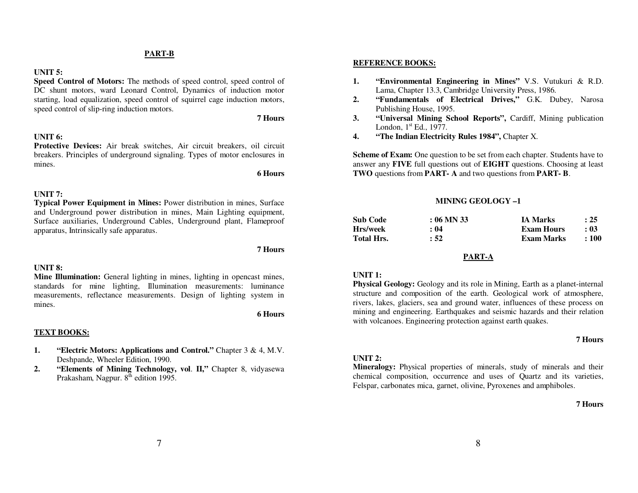#### **PART-B**

### **UNIT 5:**

 **Speed Control of Motors:** The methods of speed control, speed control of DC shunt motors, ward Leonard Control, Dynamics of induction motor starting, load equalization, speed control of squirrel cage induction motors, speed control of slip-ring induction motors.

#### **7 Hours**

#### **UNIT 6:**

 **Protective Devices:** Air break switches, Air circuit breakers, oil circuit breakers. Principles of underground signaling. Types of motor enclosures in mines.

**6 Hours** 

#### **UNIT 7:**

 **Typical Power Equipment in Mines:** Power distribution in mines, Surface and Underground power distribution in mines, Main Lighting equipment, Surface auxiliaries, Underground Cables, Underground plant, Flameproof apparatus, Intrinsically safe apparatus.

### **UNIT 8:**

 **Mine Illumination:** General lighting in mines, lighting in opencast mines, standards for mine lighting, Illumination measurements: luminance measurements, reflectance measurements. Design of lighting system in mines.

**6 Hours** 

**7 Hours** 

#### **TEXT BOOKS:**

- **1. "Electric Motors: Applications and Control."** Chapter 3 & 4, M.V. Deshpande, Wheeler Edition, 1990.
- **"Elements of Mining Technology, vol**. **II,"** Chapter 8, vidyasewa **2.**Prakasham, Nagpur.  $8<sup>th</sup>$  edition 1995.

#### **REFERENCE BOOKS:**

- **1. "Environmental Engineering in Mines"** V.S. Vutukuri & R.D. Lama, Chapter 13.3, Cambridge University Press, 1986.
- **"Fundamentals of Electrical Drives,"** G.K. Dubey, Narosa **2.**Publishing House, 1995.
- **"Universal Mining School Reports",** Cardiff, Mining publication **3.**London,  $1<sup>st</sup>$  Ed., 1977.
- **"The Indian Electricity Rules 1984",** Chapter X. **4.**

**Scheme of Exam:** One question to be set from each chapter. Students have to answer any **FIVE** full questions out of **EIGHT** questions. Choosing at least **TWO** questions from **PART- A** and two questions from **PART- B**.

#### **MINING GEOLOGY –1**

| <b>Sub Code</b>   | $: 06$ MN 33 | <b>IA Marks</b>   | $\therefore$ 25 |
|-------------------|--------------|-------------------|-----------------|
| Hrs/week          | : 04         | <b>Exam Hours</b> | : 03            |
| <b>Total Hrs.</b> | : 52         | Exam Marks        | $\pm 100$       |

### **PART-A**

#### **UNIT 1:**

 **Physical Geology:** Geology and its role in Mining, Earth as a planet-internal structure and composition of the earth. Geological work of atmosphere, rivers, lakes, glaciers, sea and ground water, influences of these process on mining and engineering. Earthquakes and seismic hazards and their relation with volcanoes. Engineering protection against earth quakes.

#### **7 Hours**

#### **UNIT 2:**

 **Mineralogy:** Physical properties of minerals, study of minerals and their chemical composition, occurrence and uses of Quartz and its varieties, Felspar, carbonates mica, garnet, olivine, Pyroxenes and amphiboles.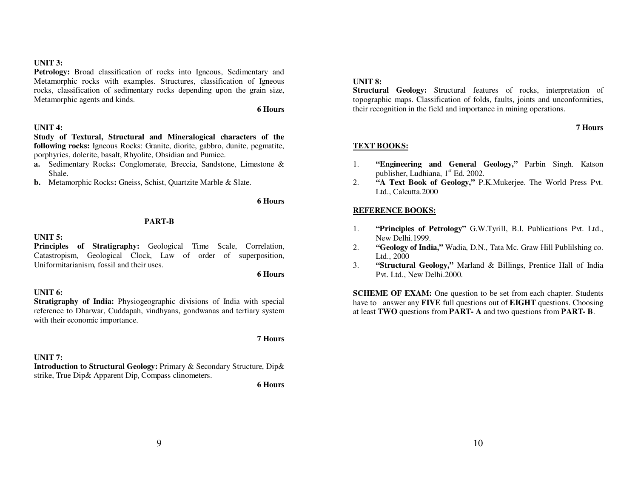### **UNIT 3:**

Petrology: Broad classification of rocks into Igneous, Sedimentary and Metamorphic rocks with examples. Structures, classification of Igneous rocks, classification of sedimentary rocks depending upon the grain size, Metamorphic agents and kinds.

**6 Hours** 

### **UNIT 4:**

 **Study of Textural, Structural and Mineralogical characters of the following rocks:** Igneous Rocks: Granite, diorite, gabbro, dunite, pegmatite, porphyries, dolerite, basalt, Rhyolite, Obsidian and Pumice.

- **a.** Sedimentary Rocks**:** Conglomerate, Breccia, Sandstone, Limestone & Shale.
- **b.** Metamorphic Rocks**:** Gneiss, Schist, Quartzite Marble & Slate.

### **6 Hours**

### **PART-B**

### **UNIT 5:**

 **Principles of Stratigraphy:** Geological Time Scale, Correlation, Catastropism, Geological Clock, Law of order of superposition, Uniformitarianism, fossil and their uses.

**6 Hours** 

### **UNIT 6:**

 **Stratigraphy of India:** Physiogeographic divisions of India with special reference to Dharwar, Cuddapah, vindhyans, gondwanas and tertiary system with their economic importance.

### **7 Hours**

### **UNIT 7:**

 **Introduction to Structural Geology:** Primary & Secondary Structure, Dip& strike, True Dip& Apparent Dip, Compass clinometers.

**6 Hours** 

### **UNIT 8:**

 **Structural Geology:** Structural features of rocks, interpretation of topographic maps. Classification of folds, faults, joints and unconformities, their recognition in the field and importance in mining operations.

### **7 Hours**

### **TEXT BOOKS:**

- 1. **"Engineering and General Geology,"** Parbin Singh. Katson publisher, Ludhiana,  $1<sup>st</sup> Ed. 2002$ .
- **"A Text Book of Geology,"** P.K.Mukerjee. The World Press Pvt. 2.Ltd., Calcutta.2000

### **REFERENCE BOOKS:**

- 1. **"Principles of Petrology"** G.W.Tyrill, B.I. Publications Pvt. Ltd., New Delhi.1999.
- **"Geology of India,"** Wadia, D.N., Tata Mc. Graw Hill Publilshing co. 2.Ltd., 2000
- **"Structural Geology,"** Marland & Billings, Prentice Hall of India 3.Pvt. Ltd., New Delhi.2000.

**SCHEME OF EXAM:** One question to be set from each chapter. Students have to answer any **FIVE** full questions out of **EIGHT** questions. Choosing at least **TWO** questions from **PART- A** and two questions from **PART- B**.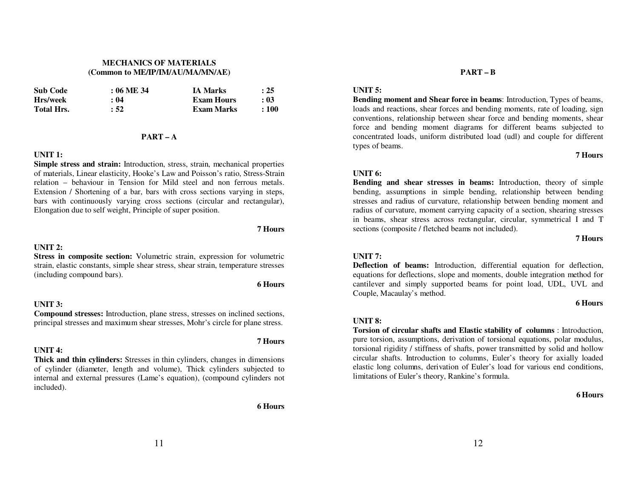### **MECHANICS OF MATERIALS (Common to ME/IP/IM/AU/MA/MN/AE)**

| <b>Sub Code</b> | $: 06 \, \mathrm{ME} \, 34$ | <b>IA Marks</b> | : 25 |
|-----------------|-----------------------------|-----------------|------|
| Hrs/week        | : 04                        | Exam Hours      | : 03 |
| Total Hrs.      | : 52                        | Exam Marks      | :100 |

#### **PART – A**

#### **UNIT 1:**

 **Simple stress and strain:** Introduction, stress, strain, mechanical properties of materials, Linear elasticity, Hooke's Law and Poisson's ratio, Stress-Strain relation – behaviour in Tension for Mild steel and non ferrous metals. Extension / Shortening of a bar, bars with cross sections varying in steps, bars with continuously varying cross sections (circular and rectangular), Elongation due to self weight, Principle of super position.

### **UNIT 2:**

### **Stress in composite section:** Volumetric strain, expression for volumetric strain, elastic constants, simple shear stress, shear strain, temperature stresses (including compound bars).

**6 Hours** 

**7 Hours** 

**7 Hours** 

### **UNIT 3:**

 **Compound stresses:** Introduction, plane stress, stresses on inclined sections, principal stresses and maximum shear stresses, Mohr's circle for plane stress.

### **UNIT 4:**

### **Thick and thin cylinders:** Stresses in thin cylinders, changes in dimensions of cylinder (diameter, length and volume), Thick cylinders subjected to internal and external pressures (Lame's equation), (compound cylinders not included).

 **6 Hours** 

# **PART – B**

### **UNIT 5:**

 **Bending moment and Shear force in beams**: Introduction, Types of beams, loads and reactions, shear forces and bending moments, rate of loading, sign conventions, relationship between shear force and bending moments, shear force and bending moment diagrams for different beams subjected to concentrated loads, uniform distributed load (udl) and couple for different types of beams.

#### **7 Hours**

### **UNIT 6:**

 **Bending and shear stresses in beams:** Introduction, theory of simple bending, assumptions in simple bending, relationship between bending stresses and radius of curvature, relationship between bending moment and radius of curvature, moment carrying capacity of a section, shearing stresses in beams, shear stress across rectangular, circular, symmetrical I and T sections (composite / fletched beams not included).

**7 Hours**

## **UNIT 7:**

 **Deflection of beams:** Introduction, differential equation for deflection, equations for deflections, slope and moments, double integration method for cantilever and simply supported beams for point load, UDL, UVL and Couple, Macaulay's method.

#### **6 Hours**

### **UNIT 8:**

 **Torsion of circular shafts and Elastic stability of columns** : Introduction, pure torsion, assumptions, derivation of torsional equations, polar modulus, torsional rigidity / stiffness of shafts, power transmitted by solid and hollow circular shafts. Introduction to columns, Euler's theory for axially loaded elastic long columns, derivation of Euler's load for various end conditions, limitations of Euler's theory, Rankine's formula.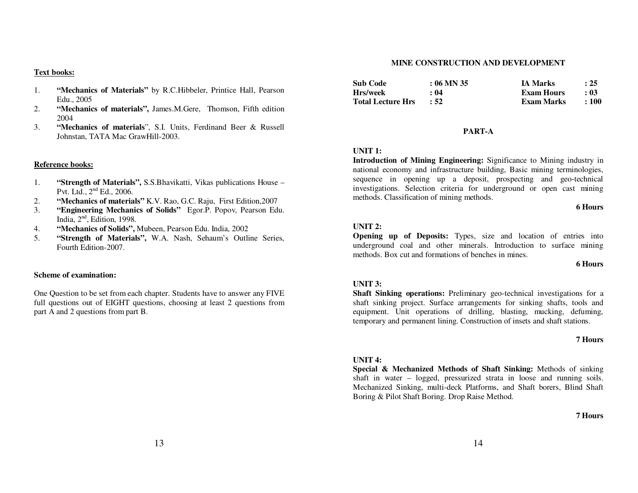#### **Text books:**

- 1. **"Mechanics of Materials"** by R.C.Hibbeler, Printice Hall, Pearson Edu., 2005
- 2. **"Mechanics of materials",** James.M.Gere, Thomson, Fifth edition 2004
- **"Mechanics of materials**", S.I. Units, Ferdinand Beer & Russell 3.Johnstan, TATA Mac GrawHill-2003.

#### **Reference books:**

- 1. **"Strength of Materials",** S.S.Bhavikatti, Vikas publications House – Pvt. Ltd.,  $2<sup>nd</sup>$  Ed., 2006.
- **"Mechanics of materials"** K.V. Rao, G.C. Raju, First Edition,2007 2.
- 3. **"Engineering Mechanics of Solids"** Egor.P. Popov, Pearson Edu. India,  $2<sup>nd</sup>$ , Edition, 1998.
- **"Mechanics of Solids",** Mubeen, Pearson Edu. India, 2002 4.
- 5. **"Strength of Materials",** W.A. Nash, Sehaum's Outline Series, Fourth Edition-2007.

#### **Scheme of examination:**

One Question to be set from each chapter. Students have to answer any FIVE full questions out of EIGHT questions, choosing at least 2 questions from part A and 2 questions from part B.

# **MINE CONSTRUCTION AND DEVELOPMENT**

| <b>Sub Code</b>          | $: 06$ MN 35 | <b>IA Marks</b> | : 25      |
|--------------------------|--------------|-----------------|-----------|
| Hrs/week                 | : 04         | Exam Hours      | : 03      |
| <b>Total Lecture Hrs</b> | .52          | Exam Marks      | $\pm 100$ |

#### **PART-A**

### **UNIT 1:**

 **Introduction of Mining Engineering:** Significance to Mining industry in national economy and infrastructure building, Basic mining terminologies, sequence in opening up a deposit, prospecting and geo-technical investigations. Selection criteria for underground or open cast mining methods. Classification of mining methods.

#### **6 Hours**

### **UNIT 2:**

 **Opening up of Deposits:** Types, size and location of entries into underground coal and other minerals. Introduction to surface mining methods. Box cut and formations of benches in mines.

#### **6 Hours**

### **UNIT 3:**

 **Shaft Sinking operations:** Preliminary geo-technical investigations for a shaft sinking project. Surface arrangements for sinking shafts, tools and equipment. Unit operations of drilling, blasting, mucking, defuming, temporary and permanent lining. Construction of insets and shaft stations.

#### **7 Hours**

### **UNIT 4:**

 **Special & Mechanized Methods of Shaft Sinking:** Methods of sinking shaft in water – logged, pressurized strata in loose and running soils. Mechanized Sinking, multi-deck Platforms, and Shaft borers, Blind Shaft Boring & Pilot Shaft Boring. Drop Raise Method.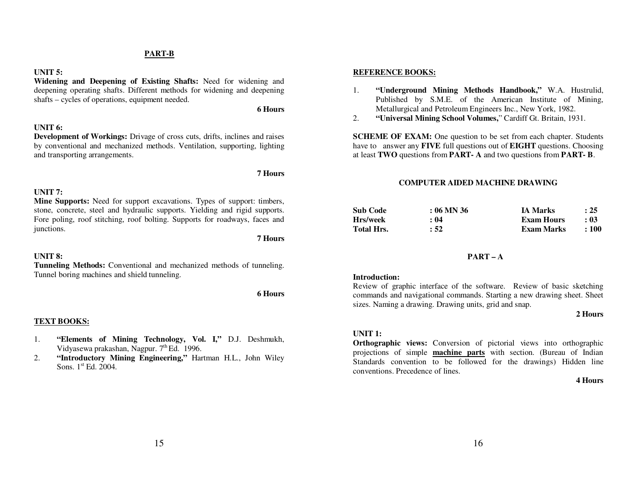#### **PART-B**

### **UNIT 5:**

 **Widening and Deepening of Existing Shafts:** Need for widening and deepening operating shafts. Different methods for widening and deepening shafts – cycles of operations, equipment needed.

**6 Hours** 

#### **UNIT 6:**

 **Development of Workings:** Drivage of cross cuts, drifts, inclines and raises by conventional and mechanized methods. Ventilation, supporting, lighting and transporting arrangements.

#### **7 Hours**

### **UNIT 7:**

 **Mine Supports:** Need for support excavations. Types of support: timbers, stone, concrete, steel and hydraulic supports. Yielding and rigid supports. Fore poling, roof stitching, roof bolting. Supports for roadways, faces and junctions.

**7 Hours** 

#### **UNIT 8:**

 **Tunneling Methods:** Conventional and mechanized methods of tunneling. Tunnel boring machines and shield tunneling.

**6 Hours**

#### **TEXT BOOKS:**

- 1. **"Elements of Mining Technology, Vol. I,"** D.J. Deshmukh, Vidyasewa prakashan, Nagpur. 7<sup>th</sup> Ed. 1996.
- **"Introductory Mining Engineering,"** Hartman H.L., John Wiley 2.Sons.  $1<sup>st</sup>$  Ed. 2004.

#### **REFERENCE BOOKS:**

- 1. **"Underground Mining Methods Handbook,"** W.A. Hustrulid, Published by S.M.E. of the American Institute of Mining, Metallurgical and Petroleum Engineers Inc., New York, 1982.
- **"Universal Mining School Volumes,**" Cardiff Gt. Britain, 1931. 2.

**SCHEME OF EXAM:** One question to be set from each chapter. Students have to answer any **FIVE** full questions out of **EIGHT** questions. Choosing at least **TWO** questions from **PART- A** and two questions from **PART- B**.

#### **COMPUTER AIDED MACHINE DRAWING**

| <b>Sub Code</b>   | $: 06$ MN 36 | <b>IA Marks</b>   | : 25      |
|-------------------|--------------|-------------------|-----------|
| Hrs/week          | : 04         | <b>Exam Hours</b> | : 03      |
| <b>Total Hrs.</b> | : 52         | Exam Marks        | $\pm 100$ |

#### **PART – A**

#### **Introduction:**

 Review of graphic interface of the software. Review of basic sketching commands and navigational commands. Starting a new drawing sheet. Sheet sizes. Naming a drawing. Drawing units, grid and snap.

#### **2 Hours**

### **UNIT 1:**

 **Orthographic views:** Conversion of pictorial views into orthographic projections of simple **machine parts** with section. (Bureau of Indian Standards convention to be followed for the drawings) Hidden line conventions. Precedence of lines.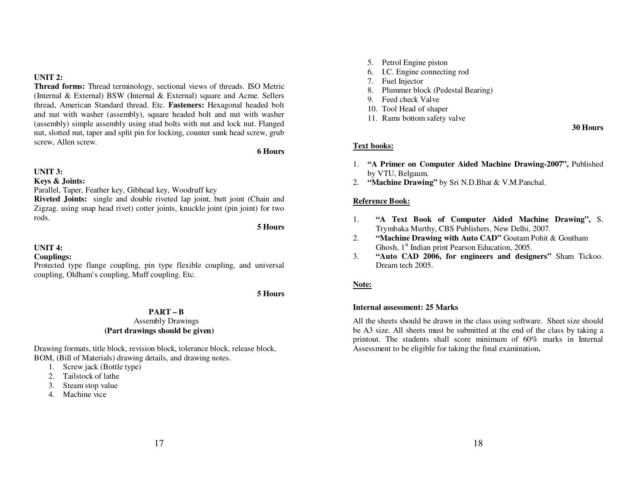**UNIT 2:**

 **Thread forms:** Thread terminology, sectional views of threads. ISO Metric (Internal & External) BSW (Internal & External) square and Acme. Sellers thread, American Standard thread. Etc. **Fasteners:** Hexagonal headed bolt and nut with washer (assembly), square headed bolt and nut with washer (assembly) simple assembly using stud bolts with nut and lock nut. Flanged nut, slotted nut, taper and split pin for locking, counter sunk head screw, grub screw, Allen screw.

**6 Hours** 

### **UNIT 3:**

**Keys & Joints:** 

Parallel, Taper, Feather key, Gibhead key, Woodruff key

 **Riveted Joints:** single and double riveted lap joint, butt joint (Chain and Zigzag. using snap head rivet) cotter joints, knuckle joint (pin joint) for two rods.

**5 Hours** 

**UNIT 4:**

### **Couplings:**

 Protected type flange coupling, pin type flexible coupling, and universal coupling, Oldham's coupling, Muff coupling. Etc.

**5 Hours**

# **PART – B**

### Assembly Drawings **(Part drawings should be given)**

Drawing formats, title block, revision block, tolerance block, release block, BOM, (Bill of Materials) drawing details, and drawing notes.

1. Screw jack (Bottle type)

- 2. Tailstock of lathe
- 3. Steam stop value
- 4. Machine vice
- 5. Petrol Engine piston
- 6. I.C. Engine connecting rod
- 7. Fuel Injector
- 8. Plummer block (Pedestal Bearing)
- 9. Feed check Valve
- 10. Tool Head of shaper
- 11. Rams bottom safety valve

**30 Hours** 

### **Text books:**

- 1. **"A Primer on Computer Aided Machine Drawing-2007",** Published by VTU, Belgaum.
- 2. **"Machine Drawing"** by Sri N.D.Bhat & V.M.Panchal.

### **Reference Book:**

- 1. **"A Text Book of Computer Aided Machine Drawing",** S. Trymbaka Murthy, CBS Publishers, New Delhi, 2007.
- **"Machine Drawing with Auto CAD"** Goutam Pohit & Goutham 2.Ghosh,  $1<sup>st</sup>$  Indian print Pearson Education, 2005.
- **"Auto CAD 2006, for engineers and designers"** Sham Tickoo. 3.Dream tech 2005.

### **Note:**

### **Internal assessment: 25 Marks**

All the sheets should be drawn in the class using software. Sheet size should be A3 size. All sheets must be submitted at the end of the class by taking a printout. The students shall score minimum of 60% marks in Internal Assessment to be eligible for taking the final examination**.**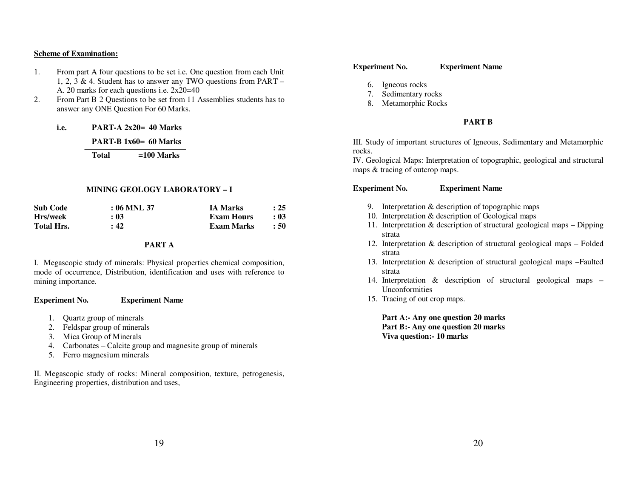#### **Scheme of Examination:**

- 1. From part A four questions to be set i.e. One question from each Unit 1, 2, 3 & 4. Student has to answer any TWO questions from PART – A. 20 marks for each questions i.e. 2x20=40
- From Part B 2 Questions to be set from 11 Assemblies students has to 2.answer any ONE Question For 60 Marks.

**i.e. PART-A 2x20= 40 Marks** 

 **PART-B 1x60= 60 Marks** 

 **Total =100 Marks** 

#### **MINING GEOLOGY LABORATORY – I**

| <b>Sub Code</b>   | $:06$ MNL 37 | <b>IA Marks</b>   | : 25 |
|-------------------|--------------|-------------------|------|
| Hrs/week          | : 03         | <b>Exam Hours</b> | : 03 |
| <b>Total Hrs.</b> | : 42         | Exam Marks        | : 50 |

### **PART A**

I. Megascopic study of minerals: Physical properties chemical composition, mode of occurrence, Distribution, identification and uses with reference to mining importance.

#### **Experiment No. Experiment Name**

- 1. Quartz group of minerals
- 2. Feldspar group of minerals
- 3. Mica Group of Minerals
- 4. Carbonates Calcite group and magnesite group of minerals
- 5. Ferro magnesium minerals

II. Megascopic study of rocks: Mineral composition, texture, petrogenesis, Engineering properties, distribution and uses,

#### **Experiment No. Experiment Name**

- 6. Igneous rocks
- 7. Sedimentary rocks
- 8. Metamorphic Rocks

#### **PART B**

III. Study of important structures of Igneous, Sedimentary and Metamorphic rocks.

 IV. Geological Maps: Interpretation of topographic, geological and structural maps & tracing of outcrop maps.

#### **Experiment No. Experiment Name**

- 9. Interpretation & description of topographic maps
- 10. Interpretation & description of Geological maps
- 11. Interpretation & description of structural geological maps Dipping strata
- 12. Interpretation & description of structural geological maps Folded strata
- 13. Interpretation & description of structural geological maps –Faulted strata
- 14. Interpretation & description of structural geological maps Unconformities
- 15. Tracing of out crop maps.

**Part A:- Any one question 20 marks Part B:- Any one question 20 marks Viva question:- 10 marks**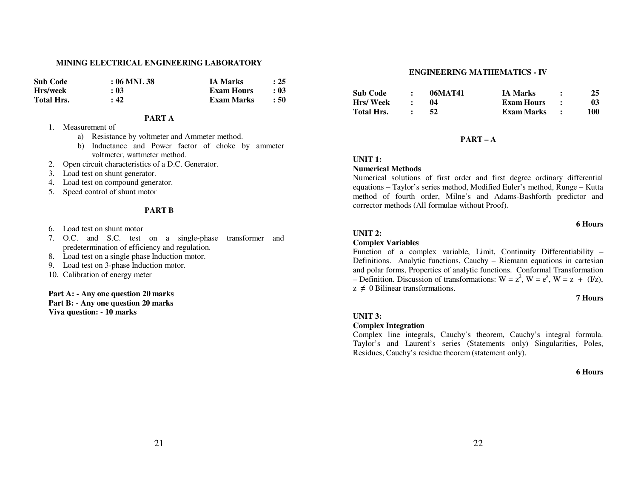#### **MINING ELECTRICAL ENGINEERING LABORATORY**

| -Sub-Code  | $:06$ MNL 38 | <b>IA Marks</b>   | $\therefore$ 25 |
|------------|--------------|-------------------|-----------------|
| Hrs/week   | : 03         | <b>Exam Hours</b> | : 03            |
| Total Hrs. | : 42         | Exam Marks        | : 50            |

#### **PART A**

- 1. Measurement of
	- a) Resistance by voltmeter and Ammeter method.
	- b) Inductance and Power factor of choke by ammeter voltmeter, wattmeter method.
- 2. Open circuit characteristics of a D.C. Generator.
- 3. Load test on shunt generator.
- 4. Load test on compound generator.
- 5. Speed control of shunt motor

#### **PART B**

- 6. Load test on shunt motor
- 7. O.C. and S.C. test on a single-phase transformer and predetermination of efficiency and regulation.
- 8. Load test on a single phase Induction motor.
- 9. Load test on 3-phase Induction motor.
- 10. Calibration of energy meter

### **Part A: - Any one question 20 marks Part B: - Any one question 20 marks**

**Viva question: - 10 marks**

#### **ENGINEERING MATHEMATICS - IV**

| <b>Sub Code</b> | 06MAT41 | <b>IA Marks</b>   | 25  |
|-----------------|---------|-------------------|-----|
| <b>Hrs/Week</b> |         | <b>Exam Hours</b> | 03  |
| Total Hrs.      |         | Exam Marks        | 100 |

#### **PART – A**

### **UNIT 1:**

### **Numerical Methods**

 Numerical solutions of first order and first degree ordinary differential equations – Taylor's series method, Modified Euler's method, Runge – Kutta method of fourth order, Milne's and Adams-Bashforth predictor and corrector methods (All formulae without Proof).

### **6 Hours**

#### **UNIT 2:**

### **Complex Variables**

 Function of a complex variable, Limit, Continuity Differentiability – Definitions. Analytic functions, Cauchy – Riemann equations in cartesian and polar forms, Properties of analytic functions. Conformal Transformation – Definition. Discussion of transformations:  $W = z^2$ ,  $W = e^z$ ,  $W = z + (I/z)$ ,  $z \neq 0$  Bilinear transformations.

#### **7 Hours**

### **UNIT 3:**

### **Complex Integration**

 Complex line integrals, Cauchy's theorem, Cauchy's integral formula. Taylor's and Laurent's series (Statements only) Singularities, Poles, Residues, Cauchy's residue theorem (statement only).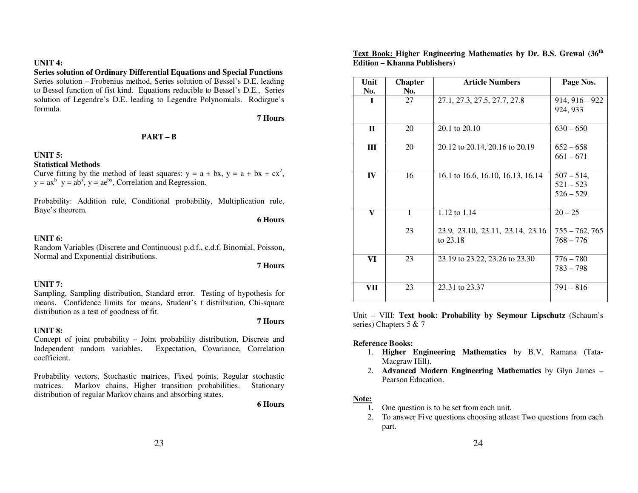### **UNIT 4:**

## **Series solution of Ordinary Differential Equations and Special Functions**

 Series solution – Frobenius method, Series solution of Bessel's D.E. leading to Bessel function of fist kind. Equations reducible to Bessel's D.E., Series solution of Legendre's D.E. leading to Legendre Polynomials. Rodirgue's formula.

#### **7 Hours**

### **PART – B**

### **UNIT 5:**

### **Statistical Methods**

Curve fitting by the method of least squares:  $y = a + bx$ ,  $y = a + bx + cx^2$ ,  $y = ax^b$ ,  $y = ab^x$ ,  $y = ae^{bx}$ , Correlation and Regression.

Probability: Addition rule, Conditional probability, Multiplication rule, Baye's theorem.

**6 Hours** 

### **UNIT 6:**

 Random Variables (Discrete and Continuous) p.d.f., c.d.f. Binomial, Poisson, Normal and Exponential distributions.

### **7 Hours**

### **UNIT 7:**

 Sampling, Sampling distribution, Standard error. Testing of hypothesis for means. Confidence limits for means, Student's t distribution, Chi-square distribution as a test of goodness of fit.

### **UNIT 8:**

### **7 Hours**

 Concept of joint probability – Joint probability distribution, Discrete and Independent random variables. Expectation, Covariance, Correlation coefficient.

Probability vectors, Stochastic matrices, Fixed points, Regular stochastic Stationary matrices. Markov chains, Higher transition probabilities. distribution of regular Markov chains and absorbing states.

**6 Hours** 

### **Text Book: Higher Engineering Mathematics by Dr. B.S. Grewal (36th Edition – Khanna Publishers)**

| Unit<br>No. | <b>Chapter</b><br>No. | <b>Article Numbers</b>                       | Page Nos.                                  |
|-------------|-----------------------|----------------------------------------------|--------------------------------------------|
| 1           | 27                    | 27.1, 27.3, 27.5, 27.7, 27.8                 | $914, 916 - 922$<br>924, 933               |
| $\mathbf H$ | 20                    | $20.1$ to $20.10$                            | $630 - 650$                                |
| III         | 20                    | 20.12 to 20.14, 20.16 to 20.19               | $652 - 658$<br>$661 - 671$                 |
| IV          | 16                    | 16.1 to 16.6, 16.10, 16.13, 16.14            | $507 - 514,$<br>$521 - 523$<br>$526 - 529$ |
| V           | 1                     | 1.12 to 1.14                                 | $20 - 25$                                  |
|             | 23                    | 23.9, 23.10, 23.11, 23.14, 23.16<br>to 23.18 | $755 - 762, 765$<br>$768 - 776$            |
| VI          | 23                    | 23.19 to 23.22, 23.26 to 23.30               | $776 - 780$<br>$783 - 798$                 |
| VП          | 23                    | 23.31 to 23.37                               | $791 - 816$                                |

Unit – VIII: **Text book: Probability by Seymour Lipschutz** (Schaum's series) Chapters 5 & 7

### **Reference Books:**

- 1. **Higher Engineering Mathematics** by B.V. Ramana (Tata-Macgraw Hill).
- 2. **Advanced Modern Engineering Mathematics** by Glyn James Pearson Education.

### **Note:**

- 1. One question is to be set from each unit.
- 2. To answer Five questions choosing atleast Two questions from each part.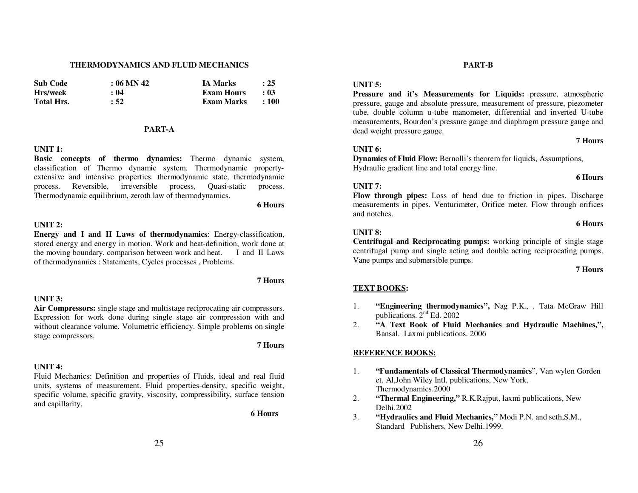#### **THERMODYNAMICS AND FLUID MECHANICS**

| <b>Sub Code</b> | $: 06$ MN 42 | <b>IA Marks</b> | : 25        |
|-----------------|--------------|-----------------|-------------|
| Hrs/week        | : 04         | Exam Hours      | - 03        |
| Total Hrs.      | : 52         | Exam Marks      | $\cdot$ 100 |

### **PART-A**

### **UNIT 1:**

 **Basic concepts of thermo dynamics:** Thermo dynamic system, classification of Thermo dynamic system. Thermodynamic propertyextensive and intensive properties. thermodynamic state, thermodynamic process. process. Reversible, irreversible process, Quasi-static Thermodynamic equilibrium, zeroth law of thermodynamics.

**6 Hours** 

### **UNIT 2:**

 **Energy and I and II Laws of thermodynamics**: Energy-classification, stored energy and energy in motion. Work and heat-definition, work done at I and II Laws the moving boundary. comparison between work and heat. of thermodynamics : Statements, Cycles processes , Problems.

### **UNIT 3:**

### **Air Compressors:** single stage and multistage reciprocating air compressors. Expression for work done during single stage air compression with and without clearance volume. Volumetric efficiency. Simple problems on single stage compressors.

**7 Hours** 

**7 Hours** 

### **UNIT 4:**

 Fluid Mechanics: Definition and properties of Fluids, ideal and real fluid units, systems of measurement. Fluid properties-density, specific weight, specific volume, specific gravity, viscosity, compressibility, surface tension and capillarity.

**6 Hours**

# **UNIT 5:**

 **Pressure and it's Measurements for Liquids:** pressure, atmospheric pressure, gauge and absolute pressure, measurement of pressure, piezometer tube, double column u-tube manometer, differential and inverted U-tube measurements, Bourdon's pressure gauge and diaphragm pressure gauge and dead weight pressure gauge.

**PART-B** 

#### **7 Hours**

### **UNIT 6:**

 **Dynamics of Fluid Flow:** Bernolli's theorem for liquids, Assumptions, Hydraulic gradient line and total energy line.

#### **6 Hours**

### **UNIT 7:**

 **Flow through pipes:** Loss of head due to friction in pipes. Discharge measurements in pipes. Venturimeter, Orifice meter. Flow through orifices and notches.

### **6 Hours**

### **UNIT 8:**

 **Centrifugal and Reciprocating pumps:** working principle of single stage centrifugal pump and single acting and double acting reciprocating pumps. Vane pumps and submersible pumps.

#### **7 Hours**

### **TEXT BOOKS:**

- 1.**"Engineering thermodynamics", Nag P.K., , Tata McGraw Hill** publications. 2nd Ed. 2002
- **"A Text Book of Fluid Mechanics and Hydraulic Machines,",** 2.Bansal. Laxmi publications. 2006

### **REFERENCE BOOKS:**

- 1. **"Fundamentals of Classical Thermodynamics**", Van wylen Gorden et. Al,John Wiley Intl. publications, New York. Thermodynamics.2000
- **"Thermal Engineering,"** R.K.Rajput, laxmi publications, New 2.Delhi.2002
- **"Hydraulics and Fluid Mechanics,"** Modi P.N. and seth,S.M., 3.Standard Publishers, New Delhi.1999.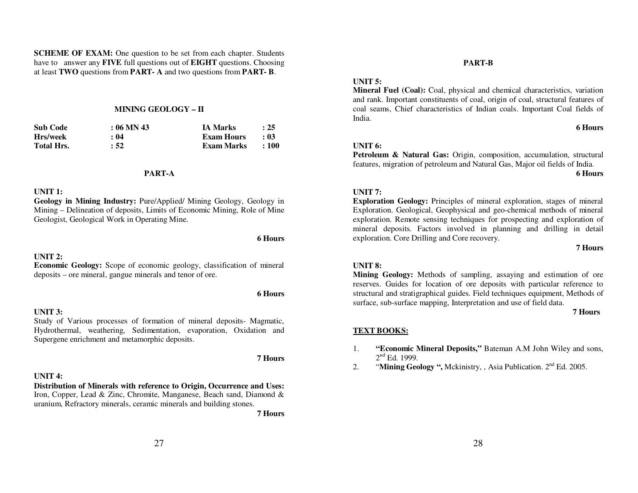**SCHEME OF EXAM:** One question to be set from each chapter. Students have to answer any **FIVE** full questions out of **EIGHT** questions. Choosing at least **TWO** questions from **PART- A** and two questions from **PART- B**.

### **MINING GEOLOGY – II**

| <b>Sub Code</b>   | $: 06$ MN 43 | <b>IA Marks</b> | $\therefore$ 25  |
|-------------------|--------------|-----------------|------------------|
| Hrs/week          | : 04         | Exam Hours      | : 03             |
| <b>Total Hrs.</b> | : 52         | Exam Marks      | $\therefore 100$ |

#### **PART-A**

### **UNIT 1:**

 **Geology in Mining Industry:** Pure/Applied/ Mining Geology, Geology in Mining – Delineation of deposits, Limits of Economic Mining, Role of Mine Geologist, Geological Work in Operating Mine.

#### **UNIT 2:**

### **Economic Geology:** Scope of economic geology, classification of mineral deposits – ore mineral, gangue minerals and tenor of ore.

#### **UNIT 3:**

### Study of Various processes of formation of mineral deposits- Magmatic, Hydrothermal, weathering, Sedimentation, evaporation, Oxidation and Supergene enrichment and metamorphic deposits.

### **7 Hours**

**6 Hours** 

**6 Hours** 

### **UNIT 4:**

### **Distribution of Minerals with reference to Origin, Occurrence and Uses:** Iron, Copper, Lead & Zinc, Chromite, Manganese, Beach sand, Diamond & uranium, Refractory minerals, ceramic minerals and building stones.

 **7 Hours**

# **UNIT 5:**

 **Mineral Fuel (Coal):** Coal, physical and chemical characteristics, variation and rank. Important constituents of coal, origin of coal, structural features of coal seams, Chief characteristics of Indian coals. Important Coal fields of India.

**PART-B** 

### **6 Hours**

### **UNIT 6:**

 **Petroleum & Natural Gas:** Origin, composition, accumulation, structural features, migration of petroleum and Natural Gas, Major oil fields of India.

### **6 Hours**

### **UNIT 7:**

 **Exploration Geology:** Principles of mineral exploration, stages of mineral Exploration. Geological, Geophysical and geo-chemical methods of mineral exploration. Remote sensing techniques for prospecting and exploration of mineral deposits. Factors involved in planning and drilling in detail exploration. Core Drilling and Core recovery.

#### **7 Hours**

### **UNIT 8:**

 **Mining Geology:** Methods of sampling, assaying and estimation of ore reserves. Guides for location of ore deposits with particular reference to structural and stratigraphical guides. Field techniques equipment, Methods of surface, sub-surface mapping, Interpretation and use of field data.

**7 Hours** 

### **TEXT BOOKS:**

- 1. **"Economic Mineral Deposits,"** Bateman A.M John Wiley and sons,  $2<sup>nd</sup>$  Ed. 1999.
- "**Mining Geology ",** Mckinistry, , Asia Publication. 2nd Ed. 2005. 2.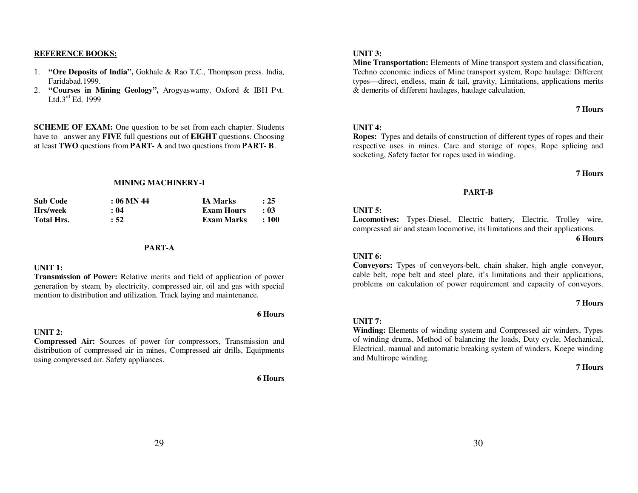### **REFERENCE BOOKS:**

- 1. **"Ore Deposits of India",** Gokhale & Rao T.C., Thompson press. India, Faridabad.1999.
- **"Courses in Mining Geology",** Arogyaswamy, Oxford & IBH Pvt. 2.Ltd. $3^{\text{rd}}$  Ed. 1999

**SCHEME OF EXAM:** One question to be set from each chapter. Students have to answer any **FIVE** full questions out of **EIGHT** questions. Choosing at least **TWO** questions from **PART- A** and two questions from **PART- B**.

#### **MINING MACHINERY-I**

| <b>Sub Code</b>   | $: 06$ MN 44 | <b>IA Marks</b>   | : 25      |
|-------------------|--------------|-------------------|-----------|
| Hrs/week          | : 04         | <b>Exam Hours</b> | : 03      |
| <b>Total Hrs.</b> | : 52         | Exam Marks        | $\pm 100$ |

### **PART-A**

#### **UNIT 1:**

 **Transmission of Power:** Relative merits and field of application of power generation by steam, by electricity, compressed air, oil and gas with special mention to distribution and utilization. Track laying and maintenance.

#### **UNIT 2:**

 **Compressed Air:** Sources of power for compressors, Transmission and distribution of compressed air in mines, Compressed air drills, Equipments using compressed air. Safety appliances.

**6 Hours** 

**6 Hours** 

#### **UNIT 3:**

 **Mine Transportation:** Elements of Mine transport system and classification, Techno economic indices of Mine transport system, Rope haulage: Different types—direct, endless, main & tail, gravity, Limitations, applications merits & demerits of different haulages, haulage calculation,

# **7 Hours**

#### **UNIT 4:**

 **Ropes:** Types and details of construction of different types of ropes and their respective uses in mines. Care and storage of ropes, Rope splicing and socketing, Safety factor for ropes used in winding.

#### **7 Hours**

#### **PART-B**

### **UNIT 5:**

 **Locomotives:** Types-Diesel, Electric battery, Electric, Trolley wire, compressed air and steam locomotive, its limitations and their applications.

**6 Hours** 

### **UNIT 6:**

 **Conveyors:** Types of conveyors-belt, chain shaker, high angle conveyor, cable belt, rope belt and steel plate, it's limitations and their applications, problems on calculation of power requirement and capacity of conveyors.

#### **7 Hours**

### **UNIT 7:**

 **Winding:** Elements of winding system and Compressed air winders, Types of winding drums, Method of balancing the loads, Duty cycle, Mechanical, Electrical, manual and automatic breaking system of winders, Koepe winding and Multirope winding.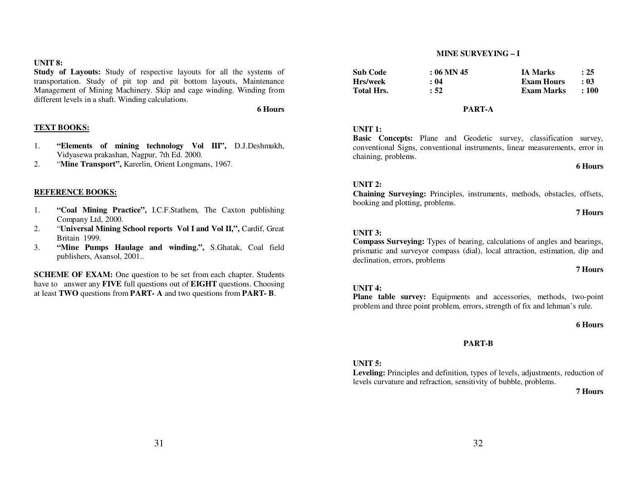### **UNIT 8:**

 **Study of Layouts:** Study of respective layouts for all the systems of transportation. Study of pit top and pit bottom layouts, Maintenance Management of Mining Machinery. Skip and cage winding. Winding from different levels in a shaft. Winding calculations.

**6 Hours** 

### **TEXT BOOKS:**

- 1. **"Elements of mining technology Vol III",** D.J.Deshmukh, Vidyasewa prakashan, Nagpur, 7th Ed. 2000.
- . "Mine Transport", Karerlin, Orient Longmans, 1967. 2.

### **REFERENCE BOOKS:**

- 1. **"Coal Mining Practice",** I.C.F.Stathem, The Caxton publishing Company Ltd, 2000.
- "**Universal Mining School reports Vol I and Vol II,",** Cardif, Great 2.Britain 1999.
- **"Mine Pumps Haulage and winding.",** S.Ghatak, Coal field 3.publishers, Asansol, 2001..

**SCHEME OF EXAM:** One question to be set from each chapter. Students have to answer any **FIVE** full questions out of **EIGHT** questions. Choosing at least **TWO** questions from **PART- A** and two questions from **PART- B**.

#### **MINE SURVEYING – I**

| Sub Code   | $: 06$ MN 45 | <b>IA Marks</b>   | : 25      |
|------------|--------------|-------------------|-----------|
| Hrs/week   | : 04         | <b>Exam Hours</b> | : 03      |
| Total Hrs. | : 52         | Exam Marks        | $\pm 100$ |

### **PART-A**

### **UNIT 1:**

 **Basic Concepts:** Plane and Geodetic survey, classification survey, conventional Signs, conventional instruments, linear measurements, error in chaining, problems.

#### **6 Hours**

#### **UNIT 2:**

 **Chaining Surveying:** Principles, instruments, methods, obstacles, offsets, booking and plotting, problems.

#### **7 Hours**

#### **UNIT 3:**

 **Compass Surveying:** Types of bearing, calculations of angles and bearings, prismatic and surveyor compass (dial), local attraction, estimation, dip and declination, errors, problems

#### **7 Hours**

### **UNIT 4:**

 **Plane table survey:** Equipments and accessories, methods, two-point problem and three point problem, errors, strength of fix and lehman's rule.

#### **6 Hours**

#### **PART-B**

#### **UNIT 5:**

 **Leveling:** Principles and definition, types of levels, adjustments, reduction of levels curvature and refraction, sensitivity of bubble, problems.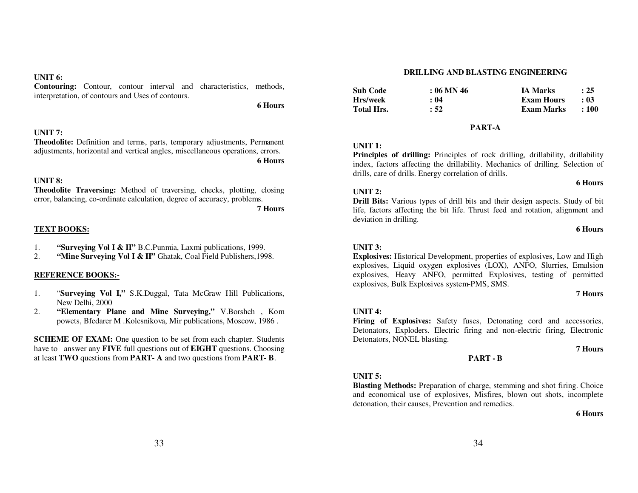### **UNIT 6:**

 **Contouring:** Contour, contour interval and characteristics, methods, interpretation, of contours and Uses of contours.

**6 Hours** 

#### **UNIT 7:**

 **Theodolite:** Definition and terms, parts, temporary adjustments, Permanent adjustments, horizontal and vertical angles, miscellaneous operations, errors. **6 Hours** 

### **UNIT 8:**

 **Theodolite Traversing:** Method of traversing, checks, plotting, closing error, balancing, co-ordinate calculation, degree of accuracy, problems.

**7 Hours** 

### **TEXT BOOKS:**

- 1.**"Surveying Vol I & II"** B.C.Punmia, Laxmi publications, 1999.
- 2.**"Mine Surveying Vol I & II"** Ghatak, Coal Field Publishers,1998.

#### **REFERENCE BOOKS:-**

- 1. "**Surveying Vol I,"** S.K.Duggal, Tata McGraw Hill Publications, New Delhi, 2000
- **"Elementary Plane and Mine Surveying,"** V.Borshch , Kom 2.powets, Bfedarer M .Kolesnikova, Mir publications, Moscow, 1986 .

**SCHEME OF EXAM:** One question to be set from each chapter. Students have to answer any **FIVE** full questions out of **EIGHT** questions. Choosing at least **TWO** questions from **PART- A** and two questions from **PART- B**.

#### **DRILLING AND BLASTING ENGINEERING**

| <b>Sub Code</b>   | $: 06$ MN 46 | <b>IA Marks</b>   | : 25       |
|-------------------|--------------|-------------------|------------|
| Hrs/week          | : 04         | <b>Exam Hours</b> | - 03       |
| <b>Total Hrs.</b> | : 52         | Exam Marks        | $\div 100$ |

#### **PART-A**

### **UNIT 1:**

 **Principles of drilling:** Principles of rock drilling, drillability, drillability index, factors affecting the drillability. Mechanics of drilling. Selection of drills, care of drills. Energy correlation of drills.

#### **UNIT 2:**

 **Drill Bits:** Various types of drill bits and their design aspects. Study of bit life, factors affecting the bit life. Thrust feed and rotation, alignment and deviation in drilling.

#### **6 Hours**

**6 Hours** 

### **UNIT 3:**

 **Explosives:** Historical Development, properties of explosives, Low and High explosives, Liquid oxygen explosives (LOX), ANFO, Slurries, Emulsion explosives, Heavy ANFO, permitted Explosives, testing of permitted explosives, Bulk Explosives system-PMS, SMS.

#### **7 Hours**

### **UNIT 4:**

 **Firing of Explosives:** Safety fuses, Detonating cord and accessories, Detonators, Exploders. Electric firing and non-electric firing, Electronic Detonators, NONEL blasting.

**PART - B** 

### **7 Hours**

### **UNIT 5:**

 **Blasting Methods:** Preparation of charge, stemming and shot firing. Choice and economical use of explosives, Misfires, blown out shots, incomplete detonation, their causes, Prevention and remedies.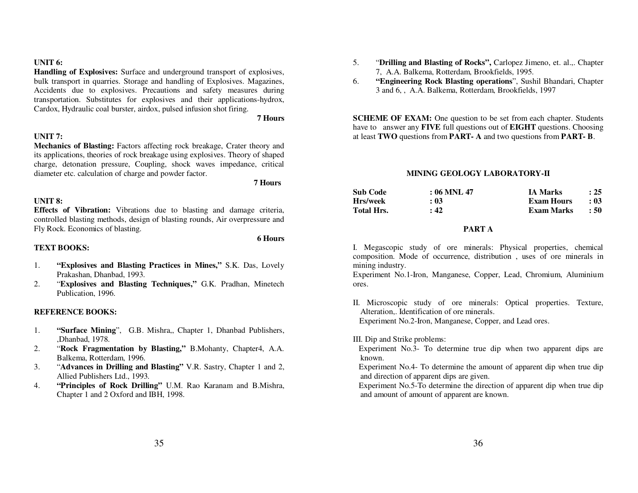**UNIT 6:**

 **Handling of Explosives:** Surface and underground transport of explosives, bulk transport in quarries. Storage and handling of Explosives. Magazines, Accidents due to explosives. Precautions and safety measures during transportation. Substitutes for explosives and their applications-hydrox, Cardox, Hydraulic coal burster, airdox, pulsed infusion shot firing.

**7 Hours** 

### **UNIT 7:**

 **Mechanics of Blasting:** Factors affecting rock breakage, Crater theory and its applications, theories of rock breakage using explosives. Theory of shaped charge, detonation pressure, Coupling, shock waves impedance, critical diameter etc. calculation of charge and powder factor.

**7 Hours** 

**6 Hours** 

### **UNIT 8:**

 **Effects of Vibration:** Vibrations due to blasting and damage criteria, controlled blasting methods, design of blasting rounds, Air overpressure and Fly Rock. Economics of blasting.

### **TEXT BOOKS:**

- 1. **"Explosives and Blasting Practices in Mines,"** S.K. Das, Lovely Prakashan, Dhanbad, 1993.
- "**Explosives and Blasting Techniques,"** G.K. Pradhan, Minetech 2.Publication, 1996.

### **REFERENCE BOOKS:**

- 1. **"Surface Mining**", G.B. Mishra,, Chapter 1, Dhanbad Publishers, ,Dhanbad, 1978.
- "**Rock Fragmentation by Blasting,"** B.Mohanty, Chapter4, A.A. 2.Balkema, Rotterdam, 1996.
- "**Advances in Drilling and Blasting"** V.R. Sastry, Chapter 1 and 2, 3.Allied Publishers Ltd., 1993.
- **"Principles of Rock Drilling"** U.M. Rao Karanam and B.Mishra, 4.Chapter 1 and 2 Oxford and IBH, 1998.
- 5. "**Drilling and Blasting of Rocks",** Carlopez Jimeno, et. al.,. Chapter 7, A.A. Balkema, Rotterdam, Brookfields, 1995.
- **"Engineering Rock Blasting operations**", Sushil Bhandari, Chapter 6.3 and 6, , A.A. Balkema, Rotterdam, Brookfields, 1997

**SCHEME OF EXAM:** One question to be set from each chapter. Students have to answer any **FIVE** full questions out of **EIGHT** questions. Choosing at least **TWO** questions from **PART- A** and two questions from **PART- B**.

### **MINING GEOLOGY LABORATORY-II**

| <b>Sub Code</b>   | $: 06$ MNL 47 | <b>IA Marks</b>   | : 25       |
|-------------------|---------------|-------------------|------------|
| Hrs/week          | : 03          | <b>Exam Hours</b> | : 03       |
| <b>Total Hrs.</b> | : 42          | <b>Exam Marks</b> | $\cdot$ 50 |

### **PART A**

I. Megascopic study of ore minerals: Physical properties, chemical composition. Mode of occurrence, distribution , uses of ore minerals in mining industry.

Experiment No.1-Iron, Manganese, Copper, Lead, Chromium, Aluminium ores.

II. Microscopic study of ore minerals: Optical properties. Texture, Alteration,. Identification of ore minerals. Experiment No.2-Iron, Manganese, Copper, and Lead ores.

III. Dip and Strike problems:

 Experiment No.3- To determine true dip when two apparent dips are known.

 Experiment No.4- To determine the amount of apparent dip when true dip and direction of apparent dips are given.

 Experiment No.5-To determine the direction of apparent dip when true dip and amount of amount of apparent are known.